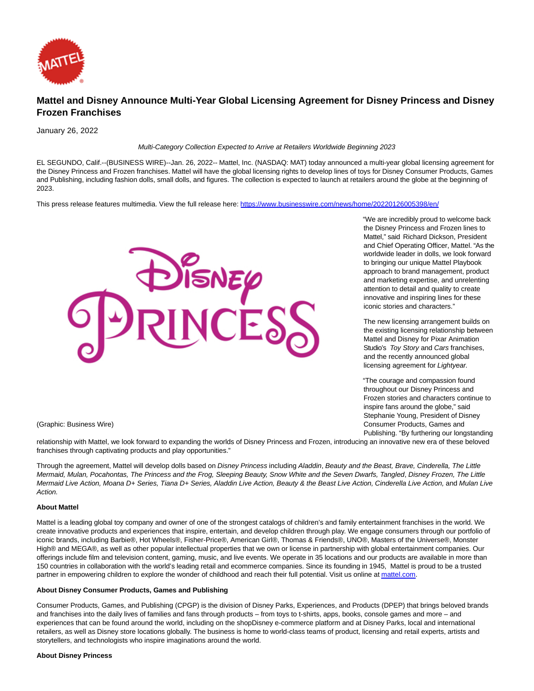

# **Mattel and Disney Announce Multi-Year Global Licensing Agreement for Disney Princess and Disney Frozen Franchises**

January 26, 2022

Multi-Category Collection Expected to Arrive at Retailers Worldwide Beginning 2023

EL SEGUNDO, Calif.--(BUSINESS WIRE)--Jan. 26, 2022-- Mattel, Inc. (NASDAQ: MAT) today announced a multi-year global licensing agreement for the Disney Princess and Frozen franchises. Mattel will have the global licensing rights to develop lines of toys for Disney Consumer Products, Games and Publishing, including fashion dolls, small dolls, and figures. The collection is expected to launch at retailers around the globe at the beginning of 2023.

This press release features multimedia. View the full release here:<https://www.businesswire.com/news/home/20220126005398/en/>



"We are incredibly proud to welcome back the Disney Princess and Frozen lines to Mattel," said Richard Dickson, President and Chief Operating Officer, Mattel. "As the worldwide leader in dolls, we look forward to bringing our unique Mattel Playbook approach to brand management, product and marketing expertise, and unrelenting attention to detail and quality to create innovative and inspiring lines for these iconic stories and characters."

The new licensing arrangement builds on the existing licensing relationship between Mattel and Disney for Pixar Animation Studio's Toy Story and Cars franchises, and the recently announced global licensing agreement for Lightyear.

"The courage and compassion found throughout our Disney Princess and Frozen stories and characters continue to inspire fans around the globe," said Stephanie Young, President of Disney Consumer Products, Games and Publishing. "By furthering our longstanding

(Graphic: Business Wire)

relationship with Mattel, we look forward to expanding the worlds of Disney Princess and Frozen, introducing an innovative new era of these beloved franchises through captivating products and play opportunities."

Through the agreement, Mattel will develop dolls based on Disney Princess including Aladdin, Beauty and the Beast, Brave, Cinderella, The Little Mermaid, Mulan, Pocahontas, The Princess and the Frog, Sleeping Beauty, Snow White and the Seven Dwarfs, Tangled, Disney Frozen, The Little Mermaid Live Action, Moana D+ Series, Tiana D+ Series, Aladdin Live Action, Beauty & the Beast Live Action, Cinderella Live Action, and Mulan Live Action.

## **About Mattel**

Mattel is a leading global toy company and owner of one of the strongest catalogs of children's and family entertainment franchises in the world. We create innovative products and experiences that inspire, entertain, and develop children through play. We engage consumers through our portfolio of iconic brands, including Barbie®, Hot Wheels®, Fisher-Price®, American Girl®, Thomas & Friends®, UNO®, Masters of the Universe®, Monster High® and MEGA®, as well as other popular intellectual properties that we own or license in partnership with global entertainment companies. Our offerings include film and television content, gaming, music, and live events. We operate in 35 locations and our products are available in more than 150 countries in collaboration with the world's leading retail and ecommerce companies. Since its founding in 1945, Mattel is proud to be a trusted partner in empowering children to explore the wonder of childhood and reach their full potential. Visit us online a[t mattel.com.](https://cts.businesswire.com/ct/CT?id=smartlink&url=https%3A%2F%2Fwww.mattel.com%2F&esheet=52568804&newsitemid=20220126005398&lan=en-US&anchor=mattel.com&index=1&md5=23d58390a910bd85915ada76f9cd453c)

### **About Disney Consumer Products, Games and Publishing**

Consumer Products, Games, and Publishing (CPGP) is the division of Disney Parks, Experiences, and Products (DPEP) that brings beloved brands and franchises into the daily lives of families and fans through products – from toys to t-shirts, apps, books, console games and more – and experiences that can be found around the world, including on the shopDisney e-commerce platform and at Disney Parks, local and international retailers, as well as Disney store locations globally. The business is home to world-class teams of product, licensing and retail experts, artists and storytellers, and technologists who inspire imaginations around the world.

#### **About Disney Princess**